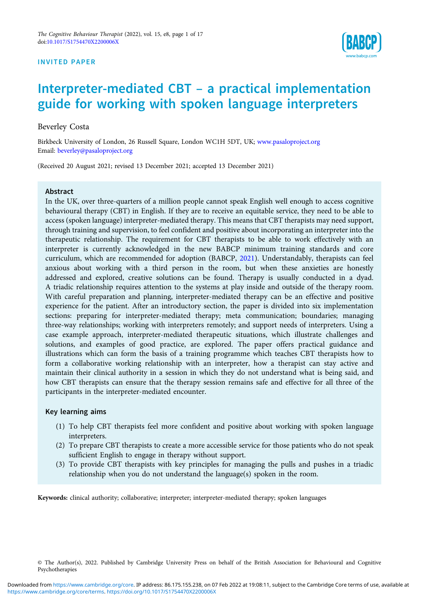#### INVITED PAPER



# Interpreter-mediated CBT – a practical implementation guide for working with spoken language interpreters

Beverley Costa

Birkbeck University of London, 26 Russell Square, London WC1H 5DT, UK; www.pasaloproject.org Email: beverley@pasaloproject.org

(Received 20 August 2021; revised 13 December 2021; accepted 13 December 2021)

#### Abstract

In the UK, over three-quarters of a million people cannot speak English well enough to access cognitive behavioural therapy (CBT) in English. If they are to receive an equitable service, they need to be able to access (spoken language) interpreter-mediated therapy. This means that CBT therapists may need support, through training and supervision, to feel confident and positive about incorporating an interpreter into the therapeutic relationship. The requirement for CBT therapists to be able to work effectively with an interpreter is currently acknowledged in the new BABCP minimum training standards and core curriculum, which are recommended for adoption (BABCP, 2021). Understandably, therapists can feel anxious about working with a third person in the room, but when these anxieties are honestly addressed and explored, creative solutions can be found. Therapy is usually conducted in a dyad. A triadic relationship requires attention to the systems at play inside and outside of the therapy room. With careful preparation and planning, interpreter-mediated therapy can be an effective and positive experience for the patient. After an introductory section, the paper is divided into six implementation sections: preparing for interpreter-mediated therapy; meta communication; boundaries; managing three-way relationships; working with interpreters remotely; and support needs of interpreters. Using a case example approach, interpreter-mediated therapeutic situations, which illustrate challenges and solutions, and examples of good practice, are explored. The paper offers practical guidance and illustrations which can form the basis of a training programme which teaches CBT therapists how to form a collaborative working relationship with an interpreter, how a therapist can stay active and maintain their clinical authority in a session in which they do not understand what is being said, and how CBT therapists can ensure that the therapy session remains safe and effective for all three of the participants in the interpreter-mediated encounter.

#### Key learning aims

- (1) To help CBT therapists feel more confident and positive about working with spoken language interpreters.
- (2) To prepare CBT therapists to create a more accessible service for those patients who do not speak sufficient English to engage in therapy without support.
- (3) To provide CBT therapists with key principles for managing the pulls and pushes in a triadic relationship when you do not understand the language(s) spoken in the room.

Keywords: clinical authority; collaborative; interpreter; interpreter-mediated therapy; spoken languages

<sup>©</sup> The Author(s), 2022. Published by Cambridge University Press on behalf of the British Association for Behavioural and Cognitive Psychotherapies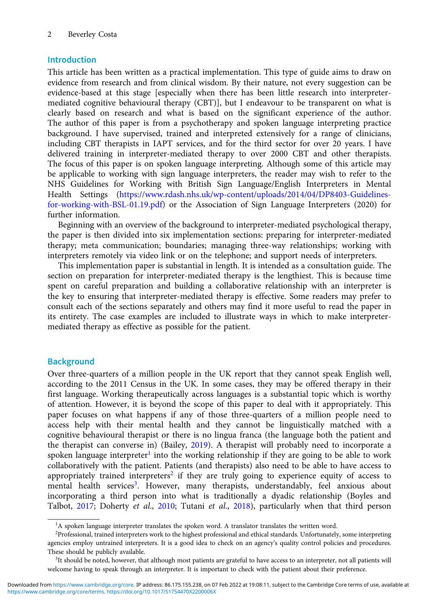# Introduction

This article has been written as a practical implementation. This type of guide aims to draw on evidence from research and from clinical wisdom. By their nature, not every suggestion can be evidence-based at this stage [especially when there has been little research into interpretermediated cognitive behavioural therapy (CBT)], but I endeavour to be transparent on what is clearly based on research and what is based on the significant experience of the author. The author of this paper is from a psychotherapy and spoken language interpreting practice background. I have supervised, trained and interpreted extensively for a range of clinicians, including CBT therapists in IAPT services, and for the third sector for over 20 years. I have delivered training in interpreter-mediated therapy to over 2000 CBT and other therapists. The focus of this paper is on spoken language interpreting. Although some of this article may be applicable to working with sign language interpreters, the reader may wish to refer to the NHS Guidelines for Working with British Sign Language/English Interpreters in Mental Health Settings (https://www.rdash.nhs.uk/wp-content/uploads/2014/04/DP8403-Guidelinesfor-working-with-BSL-01.19.pdf) or the Association of Sign Language Interpreters (2020) for further information.

Beginning with an overview of the background to interpreter-mediated psychological therapy, the paper is then divided into six implementation sections: preparing for interpreter-mediated therapy; meta communication; boundaries; managing three-way relationships; working with interpreters remotely via video link or on the telephone; and support needs of interpreters.

This implementation paper is substantial in length. It is intended as a consultation guide. The section on preparation for interpreter-mediated therapy is the lengthiest. This is because time spent on careful preparation and building a collaborative relationship with an interpreter is the key to ensuring that interpreter-mediated therapy is effective. Some readers may prefer to consult each of the sections separately and others may find it more useful to read the paper in its entirety. The case examples are included to illustrate ways in which to make interpretermediated therapy as effective as possible for the patient.

# **Background**

Over three-quarters of a million people in the UK report that they cannot speak English well, according to the 2011 Census in the UK. In some cases, they may be offered therapy in their first language. Working therapeutically across languages is a substantial topic which is worthy of attention. However, it is beyond the scope of this paper to deal with it appropriately. This paper focuses on what happens if any of those three-quarters of a million people need to access help with their mental health and they cannot be linguistically matched with a cognitive behavioural therapist or there is no lingua franca (the language both the patient and the therapist can converse in) (Bailey, 2019). A therapist will probably need to incorporate a spoken language interpreter<sup>1</sup> into the working relationship if they are going to be able to work collaboratively with the patient. Patients (and therapists) also need to be able to have access to appropriately trained interpreters<sup>2</sup> if they are truly going to experience equity of access to mental health services<sup>3</sup>. However, many therapists, understandably, feel anxious about incorporating a third person into what is traditionally a dyadic relationship (Boyles and Talbot, 2017; Doherty et al., 2010; Tutani et al., 2018), particularly when that third person

<sup>&</sup>lt;sup>1</sup>A spoken language interpreter translates the spoken word. A translator translates the written word.

<sup>&</sup>lt;sup>2</sup>Professional, trained interpreters work to the highest professional and ethical standards. Unfortunately, some interpreting agencies employ untrained interpreters. It is a good idea to check on an agency's quality control policies and procedures. These should be publicly available.

<sup>&</sup>lt;sup>3</sup>It should be noted, however, that although most patients are grateful to have access to an interpreter, not all patients will welcome having to speak through an interpreter. It is important to check with the patient about their preference.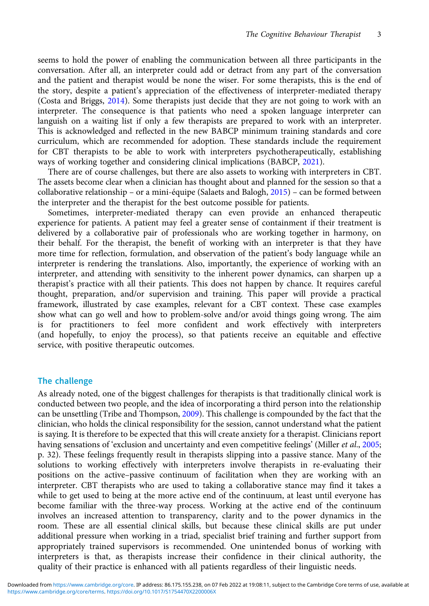seems to hold the power of enabling the communication between all three participants in the conversation. After all, an interpreter could add or detract from any part of the conversation and the patient and therapist would be none the wiser. For some therapists, this is the end of the story, despite a patient's appreciation of the effectiveness of interpreter-mediated therapy (Costa and Briggs, 2014). Some therapists just decide that they are not going to work with an interpreter. The consequence is that patients who need a spoken language interpreter can languish on a waiting list if only a few therapists are prepared to work with an interpreter. This is acknowledged and reflected in the new BABCP minimum training standards and core curriculum, which are recommended for adoption. These standards include the requirement for CBT therapists to be able to work with interpreters psychotherapeutically, establishing ways of working together and considering clinical implications (BABCP, 2021).

There are of course challenges, but there are also assets to working with interpreters in CBT. The assets become clear when a clinician has thought about and planned for the session so that a collaborative relationship – or a mini-équipe (Salaets and Balogh, 2015) – can be formed between the interpreter and the therapist for the best outcome possible for patients.

Sometimes, interpreter-mediated therapy can even provide an enhanced therapeutic experience for patients. A patient may feel a greater sense of containment if their treatment is delivered by a collaborative pair of professionals who are working together in harmony, on their behalf. For the therapist, the benefit of working with an interpreter is that they have more time for reflection, formulation, and observation of the patient's body language while an interpreter is rendering the translations. Also, importantly, the experience of working with an interpreter, and attending with sensitivity to the inherent power dynamics, can sharpen up a therapist's practice with all their patients. This does not happen by chance. It requires careful thought, preparation, and/or supervision and training. This paper will provide a practical framework, illustrated by case examples, relevant for a CBT context. These case examples show what can go well and how to problem-solve and/or avoid things going wrong. The aim is for practitioners to feel more confident and work effectively with interpreters (and hopefully, to enjoy the process), so that patients receive an equitable and effective service, with positive therapeutic outcomes.

## The challenge

As already noted, one of the biggest challenges for therapists is that traditionally clinical work is conducted between two people, and the idea of incorporating a third person into the relationship can be unsettling (Tribe and Thompson, 2009). This challenge is compounded by the fact that the clinician, who holds the clinical responsibility for the session, cannot understand what the patient is saying. It is therefore to be expected that this will create anxiety for a therapist. Clinicians report having sensations of 'exclusion and uncertainty and even competitive feelings' (Miller *et al.*, 2005; p. 32). These feelings frequently result in therapists slipping into a passive stance. Many of the solutions to working effectively with interpreters involve therapists in re-evaluating their positions on the active–passive continuum of facilitation when they are working with an interpreter. CBT therapists who are used to taking a collaborative stance may find it takes a while to get used to being at the more active end of the continuum, at least until everyone has become familiar with the three-way process. Working at the active end of the continuum involves an increased attention to transparency, clarity and to the power dynamics in the room. These are all essential clinical skills, but because these clinical skills are put under additional pressure when working in a triad, specialist brief training and further support from appropriately trained supervisors is recommended. One unintended bonus of working with interpreters is that, as therapists increase their confidence in their clinical authority, the quality of their practice is enhanced with all patients regardless of their linguistic needs.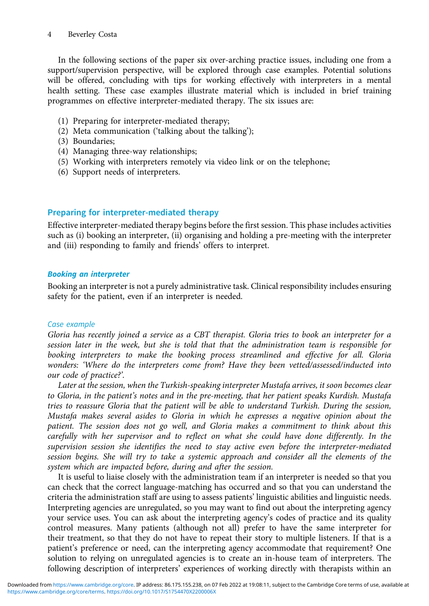In the following sections of the paper six over-arching practice issues, including one from a support/supervision perspective, will be explored through case examples. Potential solutions will be offered, concluding with tips for working effectively with interpreters in a mental health setting. These case examples illustrate material which is included in brief training programmes on effective interpreter-mediated therapy. The six issues are:

- (1) Preparing for interpreter-mediated therapy;
- (2) Meta communication ('talking about the talking');
- (3) Boundaries;
- (4) Managing three-way relationships;
- (5) Working with interpreters remotely via video link or on the telephone;
- (6) Support needs of interpreters.

# Preparing for interpreter-mediated therapy

Effective interpreter-mediated therapy begins before the first session. This phase includes activities such as (i) booking an interpreter, (ii) organising and holding a pre-meeting with the interpreter and (iii) responding to family and friends' offers to interpret.

## Booking an interpreter

Booking an interpreter is not a purely administrative task. Clinical responsibility includes ensuring safety for the patient, even if an interpreter is needed.

## Case example

Gloria has recently joined a service as a CBT therapist. Gloria tries to book an interpreter for a session later in the week, but she is told that that the administration team is responsible for booking interpreters to make the booking process streamlined and effective for all. Gloria wonders: 'Where do the interpreters come from? Have they been vetted/assessed/inducted into our code of practice?'.

Later at the session, when the Turkish-speaking interpreter Mustafa arrives, it soon becomes clear to Gloria, in the patient's notes and in the pre-meeting, that her patient speaks Kurdish. Mustafa tries to reassure Gloria that the patient will be able to understand Turkish. During the session, Mustafa makes several asides to Gloria in which he expresses a negative opinion about the patient. The session does not go well, and Gloria makes a commitment to think about this carefully with her supervisor and to reflect on what she could have done differently. In the supervision session she identifies the need to stay active even before the interpreter-mediated session begins. She will try to take a systemic approach and consider all the elements of the system which are impacted before, during and after the session.

It is useful to liaise closely with the administration team if an interpreter is needed so that you can check that the correct language-matching has occurred and so that you can understand the criteria the administration staff are using to assess patients' linguistic abilities and linguistic needs. Interpreting agencies are unregulated, so you may want to find out about the interpreting agency your service uses. You can ask about the interpreting agency's codes of practice and its quality control measures. Many patients (although not all) prefer to have the same interpreter for their treatment, so that they do not have to repeat their story to multiple listeners. If that is a patient's preference or need, can the interpreting agency accommodate that requirement? One solution to relying on unregulated agencies is to create an in-house team of interpreters. The following description of interpreters' experiences of working directly with therapists within an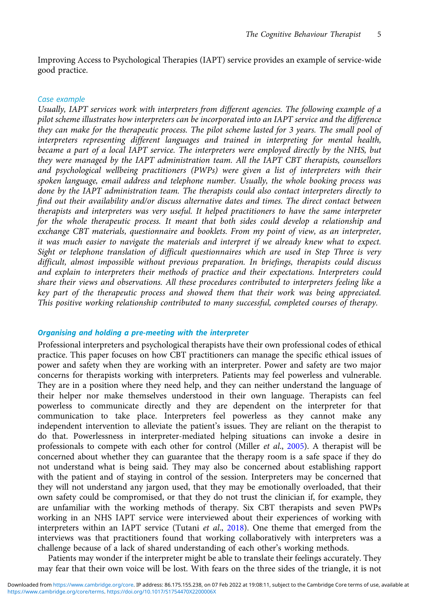Improving Access to Psychological Therapies (IAPT) service provides an example of service-wide good practice.

#### Case example

Usually, IAPT services work with interpreters from different agencies. The following example of a pilot scheme illustrates how interpreters can be incorporated into an IAPT service and the difference they can make for the therapeutic process. The pilot scheme lasted for 3 years. The small pool of interpreters representing different languages and trained in interpreting for mental health, became a part of a local IAPT service. The interpreters were employed directly by the NHS, but they were managed by the IAPT administration team. All the IAPT CBT therapists, counsellors and psychological wellbeing practitioners (PWPs) were given a list of interpreters with their spoken language, email address and telephone number. Usually, the whole booking process was done by the IAPT administration team. The therapists could also contact interpreters directly to find out their availability and/or discuss alternative dates and times. The direct contact between therapists and interpreters was very useful. It helped practitioners to have the same interpreter for the whole therapeutic process. It meant that both sides could develop a relationship and exchange CBT materials, questionnaire and booklets. From my point of view, as an interpreter, it was much easier to navigate the materials and interpret if we already knew what to expect. Sight or telephone translation of difficult questionnaires which are used in Step Three is very difficult, almost impossible without previous preparation. In briefings, therapists could discuss and explain to interpreters their methods of practice and their expectations. Interpreters could share their views and observations. All these procedures contributed to interpreters feeling like a key part of the therapeutic process and showed them that their work was being appreciated. This positive working relationship contributed to many successful, completed courses of therapy.

#### Organising and holding a pre-meeting with the interpreter

Professional interpreters and psychological therapists have their own professional codes of ethical practice. This paper focuses on how CBT practitioners can manage the specific ethical issues of power and safety when they are working with an interpreter. Power and safety are two major concerns for therapists working with interpreters. Patients may feel powerless and vulnerable. They are in a position where they need help, and they can neither understand the language of their helper nor make themselves understood in their own language. Therapists can feel powerless to communicate directly and they are dependent on the interpreter for that communication to take place. Interpreters feel powerless as they cannot make any independent intervention to alleviate the patient's issues. They are reliant on the therapist to do that. Powerlessness in interpreter-mediated helping situations can invoke a desire in professionals to compete with each other for control (Miller et al., 2005). A therapist will be concerned about whether they can guarantee that the therapy room is a safe space if they do not understand what is being said. They may also be concerned about establishing rapport with the patient and of staying in control of the session. Interpreters may be concerned that they will not understand any jargon used, that they may be emotionally overloaded, that their own safety could be compromised, or that they do not trust the clinician if, for example, they are unfamiliar with the working methods of therapy. Six CBT therapists and seven PWPs working in an NHS IAPT service were interviewed about their experiences of working with interpreters within an IAPT service (Tutani et al., 2018). One theme that emerged from the interviews was that practitioners found that working collaboratively with interpreters was a challenge because of a lack of shared understanding of each other's working methods.

Patients may wonder if the interpreter might be able to translate their feelings accurately. They may fear that their own voice will be lost. With fears on the three sides of the triangle, it is not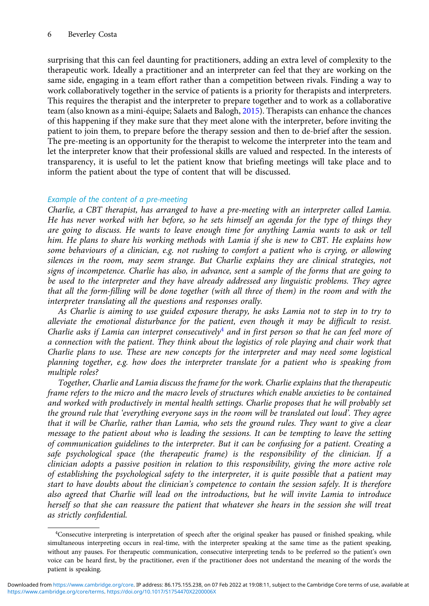## 6 Beverley Costa

surprising that this can feel daunting for practitioners, adding an extra level of complexity to the therapeutic work. Ideally a practitioner and an interpreter can feel that they are working on the same side, engaging in a team effort rather than a competition between rivals. Finding a way to work collaboratively together in the service of patients is a priority for therapists and interpreters. This requires the therapist and the interpreter to prepare together and to work as a collaborative team (also known as a mini-équipe; Salaets and Balogh, 2015). Therapists can enhance the chances of this happening if they make sure that they meet alone with the interpreter, before inviting the patient to join them, to prepare before the therapy session and then to de-brief after the session. The pre-meeting is an opportunity for the therapist to welcome the interpreter into the team and let the interpreter know that their professional skills are valued and respected. In the interests of transparency, it is useful to let the patient know that briefing meetings will take place and to inform the patient about the type of content that will be discussed.

## Example of the content of a pre-meeting

Charlie, a CBT therapist, has arranged to have a pre-meeting with an interpreter called Lamia. He has never worked with her before, so he sets himself an agenda for the type of things they are going to discuss. He wants to leave enough time for anything Lamia wants to ask or tell him. He plans to share his working methods with Lamia if she is new to CBT. He explains how some behaviours of a clinician, e.g. not rushing to comfort a patient who is crying, or allowing silences in the room, may seem strange. But Charlie explains they are clinical strategies, not signs of incompetence. Charlie has also, in advance, sent a sample of the forms that are going to be used to the interpreter and they have already addressed any linguistic problems. They agree that all the form-filling will be done together (with all three of them) in the room and with the interpreter translating all the questions and responses orally.

As Charlie is aiming to use guided exposure therapy, he asks Lamia not to step in to try to alleviate the emotional disturbance for the patient, even though it may be difficult to resist. Charlie asks if Lamia can interpret consecutively<sup>4</sup> and in first person so that he can feel more of a connection with the patient. They think about the logistics of role playing and chair work that Charlie plans to use. These are new concepts for the interpreter and may need some logistical planning together, e.g. how does the interpreter translate for a patient who is speaking from multiple roles?

Together, Charlie and Lamia discuss the frame for the work. Charlie explains that the therapeutic frame refers to the micro and the macro levels of structures which enable anxieties to be contained and worked with productively in mental health settings. Charlie proposes that he will probably set the ground rule that 'everything everyone says in the room will be translated out loud'. They agree that it will be Charlie, rather than Lamia, who sets the ground rules. They want to give a clear message to the patient about who is leading the sessions. It can be tempting to leave the setting of communication guidelines to the interpreter. But it can be confusing for a patient. Creating a safe psychological space (the therapeutic frame) is the responsibility of the clinician. If a clinician adopts a passive position in relation to this responsibility, giving the more active role of establishing the psychological safety to the interpreter, it is quite possible that a patient may start to have doubts about the clinician's competence to contain the session safely. It is therefore also agreed that Charlie will lead on the introductions, but he will invite Lamia to introduce herself so that she can reassure the patient that whatever she hears in the session she will treat as strictly confidential.

<sup>&</sup>lt;sup>4</sup>Consecutive interpreting is interpretation of speech after the original speaker has paused or finished speaking, while simultaneous interpreting occurs in real-time, with the interpreter speaking at the same time as the patient speaking, without any pauses. For therapeutic communication, consecutive interpreting tends to be preferred so the patient's own voice can be heard first, by the practitioner, even if the practitioner does not understand the meaning of the words the patient is speaking.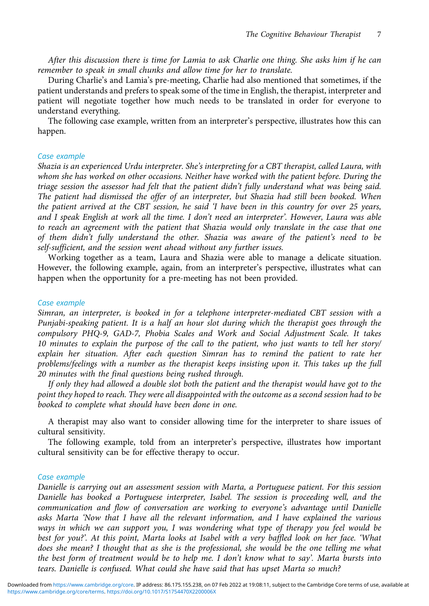After this discussion there is time for Lamia to ask Charlie one thing. She asks him if he can remember to speak in small chunks and allow time for her to translate.

During Charlie's and Lamia's pre-meeting, Charlie had also mentioned that sometimes, if the patient understands and prefers to speak some of the time in English, the therapist, interpreter and patient will negotiate together how much needs to be translated in order for everyone to understand everything.

The following case example, written from an interpreter's perspective, illustrates how this can happen.

#### Case example

Shazia is an experienced Urdu interpreter. She's interpreting for a CBT therapist, called Laura, with whom she has worked on other occasions. Neither have worked with the patient before. During the triage session the assessor had felt that the patient didn't fully understand what was being said. The patient had dismissed the offer of an interpreter, but Shazia had still been booked. When the patient arrived at the CBT session, he said 'I have been in this country for over 25 years, and I speak English at work all the time. I don't need an interpreter'. However, Laura was able to reach an agreement with the patient that Shazia would only translate in the case that one of them didn't fully understand the other. Shazia was aware of the patient's need to be self-sufficient, and the session went ahead without any further issues.

Working together as a team, Laura and Shazia were able to manage a delicate situation. However, the following example, again, from an interpreter's perspective, illustrates what can happen when the opportunity for a pre-meeting has not been provided.

#### Case example

Simran, an interpreter, is booked in for a telephone interpreter-mediated CBT session with a Punjabi-speaking patient. It is a half an hour slot during which the therapist goes through the compulsory PHQ-9, GAD-7, Phobia Scales and Work and Social Adjustment Scale. It takes 10 minutes to explain the purpose of the call to the patient, who just wants to tell her story/ explain her situation. After each question Simran has to remind the patient to rate her problems/feelings with a number as the therapist keeps insisting upon it. This takes up the full 20 minutes with the final questions being rushed through.

If only they had allowed a double slot both the patient and the therapist would have got to the point they hoped to reach. They were all disappointed with the outcome as a second session had to be booked to complete what should have been done in one.

A therapist may also want to consider allowing time for the interpreter to share issues of cultural sensitivity.

The following example, told from an interpreter's perspective, illustrates how important cultural sensitivity can be for effective therapy to occur.

#### Case example

Danielle is carrying out an assessment session with Marta, a Portuguese patient. For this session Danielle has booked a Portuguese interpreter, Isabel. The session is proceeding well, and the communication and flow of conversation are working to everyone's advantage until Danielle asks Marta 'Now that I have all the relevant information, and I have explained the various ways in which we can support you, I was wondering what type of therapy you feel would be best for you?'. At this point, Marta looks at Isabel with a very baffled look on her face. 'What does she mean? I thought that as she is the professional, she would be the one telling me what the best form of treatment would be to help me. I don't know what to say'. Marta bursts into tears. Danielle is confused. What could she have said that has upset Marta so much?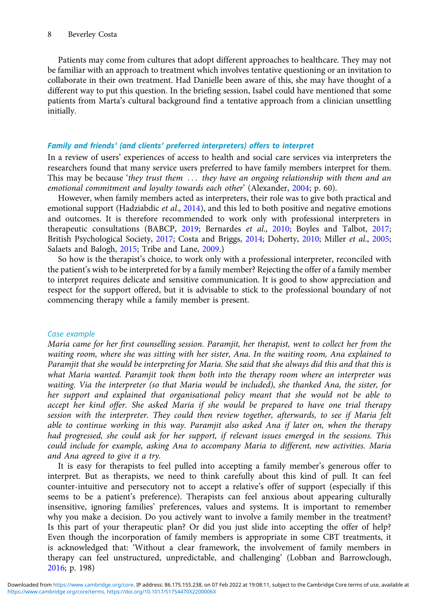Patients may come from cultures that adopt different approaches to healthcare. They may not be familiar with an approach to treatment which involves tentative questioning or an invitation to collaborate in their own treatment. Had Danielle been aware of this, she may have thought of a different way to put this question. In the briefing session, Isabel could have mentioned that some patients from Marta's cultural background find a tentative approach from a clinician unsettling initially.

## Family and friends' (and clients' preferred interpreters) offers to interpret

In a review of users' experiences of access to health and social care services via interpreters the researchers found that many service users preferred to have family members interpret for them. This may be because 'they trust them ... they have an ongoing relationship with them and an emotional commitment and loyalty towards each other' (Alexander, 2004; p. 60).

However, when family members acted as interpreters, their role was to give both practical and emotional support (Hadziabdic *et al.*, 2014), and this led to both positive and negative emotions and outcomes. It is therefore recommended to work only with professional interpreters in therapeutic consultations (BABCP, 2019; Bernardes et al., 2010; Boyles and Talbot, 2017; British Psychological Society, 2017; Costa and Briggs, 2014; Doherty, 2010; Miller et al., 2005; Salaets and Balogh, 2015; Tribe and Lane, 2009.)

So how is the therapist's choice, to work only with a professional interpreter, reconciled with the patient's wish to be interpreted for by a family member? Rejecting the offer of a family member to interpret requires delicate and sensitive communication. It is good to show appreciation and respect for the support offered, but it is advisable to stick to the professional boundary of not commencing therapy while a family member is present.

## Case example

Maria came for her first counselling session. Paramjit, her therapist, went to collect her from the waiting room, where she was sitting with her sister, Ana. In the waiting room, Ana explained to Paramjit that she would be interpreting for Maria. She said that she always did this and that this is what Maria wanted. Paramjit took them both into the therapy room where an interpreter was waiting. Via the interpreter (so that Maria would be included), she thanked Ana, the sister, for her support and explained that organisational policy meant that she would not be able to accept her kind offer. She asked Maria if she would be prepared to have one trial therapy session with the interpreter. They could then review together, afterwards, to see if Maria felt able to continue working in this way. Paramjit also asked Ana if later on, when the therapy had progressed, she could ask for her support, if relevant issues emerged in the sessions. This could include for example, asking Ana to accompany Maria to different, new activities. Maria and Ana agreed to give it a try.

It is easy for therapists to feel pulled into accepting a family member's generous offer to interpret. But as therapists, we need to think carefully about this kind of pull. It can feel counter-intuitive and persecutory not to accept a relative's offer of support (especially if this seems to be a patient's preference). Therapists can feel anxious about appearing culturally insensitive, ignoring families' preferences, values and systems. It is important to remember why you make a decision. Do you actively want to involve a family member in the treatment? Is this part of your therapeutic plan? Or did you just slide into accepting the offer of help? Even though the incorporation of family members is appropriate in some CBT treatments, it is acknowledged that: 'Without a clear framework, the involvement of family members in therapy can feel unstructured, unpredictable, and challenging' (Lobban and Barrowclough, 2016; p. 198)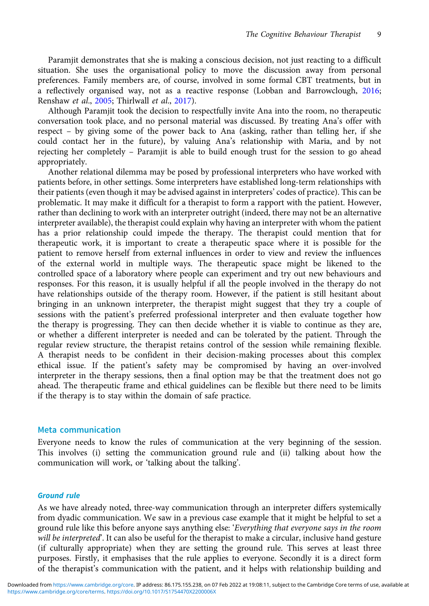Paramjit demonstrates that she is making a conscious decision, not just reacting to a difficult situation. She uses the organisational policy to move the discussion away from personal preferences. Family members are, of course, involved in some formal CBT treatments, but in a reflectively organised way, not as a reactive response (Lobban and Barrowclough, 2016; Renshaw et al., 2005; Thirlwall et al., 2017).

Although Paramjit took the decision to respectfully invite Ana into the room, no therapeutic conversation took place, and no personal material was discussed. By treating Ana's offer with respect – by giving some of the power back to Ana (asking, rather than telling her, if she could contact her in the future), by valuing Ana's relationship with Maria, and by not rejecting her completely – Paramjit is able to build enough trust for the session to go ahead appropriately.

Another relational dilemma may be posed by professional interpreters who have worked with patients before, in other settings. Some interpreters have established long-term relationships with their patients (even though it may be advised against in interpreters' codes of practice). This can be problematic. It may make it difficult for a therapist to form a rapport with the patient. However, rather than declining to work with an interpreter outright (indeed, there may not be an alternative interpreter available), the therapist could explain why having an interpreter with whom the patient has a prior relationship could impede the therapy. The therapist could mention that for therapeutic work, it is important to create a therapeutic space where it is possible for the patient to remove herself from external influences in order to view and review the influences of the external world in multiple ways. The therapeutic space might be likened to the controlled space of a laboratory where people can experiment and try out new behaviours and responses. For this reason, it is usually helpful if all the people involved in the therapy do not have relationships outside of the therapy room. However, if the patient is still hesitant about bringing in an unknown interpreter, the therapist might suggest that they try a couple of sessions with the patient's preferred professional interpreter and then evaluate together how the therapy is progressing. They can then decide whether it is viable to continue as they are, or whether a different interpreter is needed and can be tolerated by the patient. Through the regular review structure, the therapist retains control of the session while remaining flexible. A therapist needs to be confident in their decision-making processes about this complex ethical issue. If the patient's safety may be compromised by having an over-involved interpreter in the therapy sessions, then a final option may be that the treatment does not go ahead. The therapeutic frame and ethical guidelines can be flexible but there need to be limits if the therapy is to stay within the domain of safe practice.

## Meta communication

Everyone needs to know the rules of communication at the very beginning of the session. This involves (i) setting the communication ground rule and (ii) talking about how the communication will work, or 'talking about the talking'.

#### Ground rule

As we have already noted, three-way communication through an interpreter differs systemically from dyadic communication. We saw in a previous case example that it might be helpful to set a ground rule like this before anyone says anything else: 'Everything that everyone says in the room will be interpreted. It can also be useful for the therapist to make a circular, inclusive hand gesture (if culturally appropriate) when they are setting the ground rule. This serves at least three purposes. Firstly, it emphasises that the rule applies to everyone. Secondly it is a direct form of the therapist's communication with the patient, and it helps with relationship building and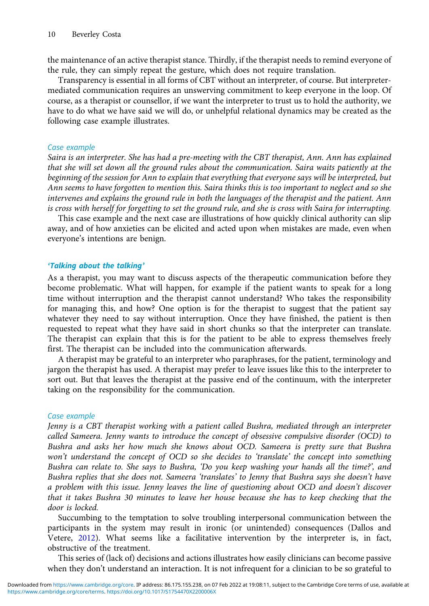the maintenance of an active therapist stance. Thirdly, if the therapist needs to remind everyone of the rule, they can simply repeat the gesture, which does not require translation.

Transparency is essential in all forms of CBT without an interpreter, of course. But interpretermediated communication requires an unswerving commitment to keep everyone in the loop. Of course, as a therapist or counsellor, if we want the interpreter to trust us to hold the authority, we have to do what we have said we will do, or unhelpful relational dynamics may be created as the following case example illustrates.

## Case example

Saira is an interpreter. She has had a pre-meeting with the CBT therapist, Ann. Ann has explained that she will set down all the ground rules about the communication. Saira waits patiently at the beginning of the session for Ann to explain that everything that everyone says will be interpreted, but Ann seems to have forgotten to mention this. Saira thinks this is too important to neglect and so she intervenes and explains the ground rule in both the languages of the therapist and the patient. Ann is cross with herself for forgetting to set the ground rule, and she is cross with Saira for interrupting.

This case example and the next case are illustrations of how quickly clinical authority can slip away, and of how anxieties can be elicited and acted upon when mistakes are made, even when everyone's intentions are benign.

## 'Talking about the talking'

As a therapist, you may want to discuss aspects of the therapeutic communication before they become problematic. What will happen, for example if the patient wants to speak for a long time without interruption and the therapist cannot understand? Who takes the responsibility for managing this, and how? One option is for the therapist to suggest that the patient say whatever they need to say without interruption. Once they have finished, the patient is then requested to repeat what they have said in short chunks so that the interpreter can translate. The therapist can explain that this is for the patient to be able to express themselves freely first. The therapist can be included into the communication afterwards.

A therapist may be grateful to an interpreter who paraphrases, for the patient, terminology and jargon the therapist has used. A therapist may prefer to leave issues like this to the interpreter to sort out. But that leaves the therapist at the passive end of the continuum, with the interpreter taking on the responsibility for the communication.

## Case example

Jenny is a CBT therapist working with a patient called Bushra, mediated through an interpreter called Sameera. Jenny wants to introduce the concept of obsessive compulsive disorder (OCD) to Bushra and asks her how much she knows about OCD. Sameera is pretty sure that Bushra won't understand the concept of OCD so she decides to 'translate' the concept into something Bushra can relate to. She says to Bushra, 'Do you keep washing your hands all the time?', and Bushra replies that she does not. Sameera 'translates' to Jenny that Bushra says she doesn't have a problem with this issue. Jenny leaves the line of questioning about OCD and doesn't discover that it takes Bushra 30 minutes to leave her house because she has to keep checking that the door is locked.

Succumbing to the temptation to solve troubling interpersonal communication between the participants in the system may result in ironic (or unintended) consequences (Dallos and Vetere, 2012). What seems like a facilitative intervention by the interpreter is, in fact, obstructive of the treatment.

This series of (lack of) decisions and actions illustrates how easily clinicians can become passive when they don't understand an interaction. It is not infrequent for a clinician to be so grateful to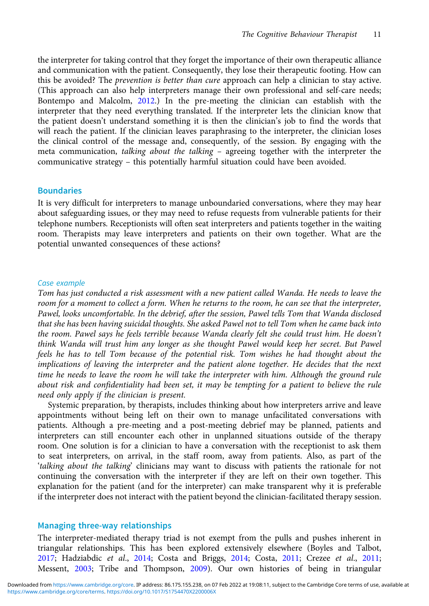the interpreter for taking control that they forget the importance of their own therapeutic alliance and communication with the patient. Consequently, they lose their therapeutic footing. How can this be avoided? The prevention is better than cure approach can help a clinician to stay active. (This approach can also help interpreters manage their own professional and self-care needs; Bontempo and Malcolm, 2012.) In the pre-meeting the clinician can establish with the interpreter that they need everything translated. If the interpreter lets the clinician know that the patient doesn't understand something it is then the clinician's job to find the words that will reach the patient. If the clinician leaves paraphrasing to the interpreter, the clinician loses the clinical control of the message and, consequently, of the session. By engaging with the meta communication, talking about the talking – agreeing together with the interpreter the communicative strategy – this potentially harmful situation could have been avoided.

## **Boundaries**

It is very difficult for interpreters to manage unboundaried conversations, where they may hear about safeguarding issues, or they may need to refuse requests from vulnerable patients for their telephone numbers. Receptionists will often seat interpreters and patients together in the waiting room. Therapists may leave interpreters and patients on their own together. What are the potential unwanted consequences of these actions?

#### Case example

Tom has just conducted a risk assessment with a new patient called Wanda. He needs to leave the room for a moment to collect a form. When he returns to the room, he can see that the interpreter, Pawel, looks uncomfortable. In the debrief, after the session, Pawel tells Tom that Wanda disclosed that she has been having suicidal thoughts. She asked Pawel not to tell Tom when he came back into the room. Pawel says he feels terrible because Wanda clearly felt she could trust him. He doesn't think Wanda will trust him any longer as she thought Pawel would keep her secret. But Pawel feels he has to tell Tom because of the potential risk. Tom wishes he had thought about the implications of leaving the interpreter and the patient alone together. He decides that the next time he needs to leave the room he will take the interpreter with him. Although the ground rule about risk and confidentiality had been set, it may be tempting for a patient to believe the rule need only apply if the clinician is present.

Systemic preparation, by therapists, includes thinking about how interpreters arrive and leave appointments without being left on their own to manage unfacilitated conversations with patients. Although a pre-meeting and a post-meeting debrief may be planned, patients and interpreters can still encounter each other in unplanned situations outside of the therapy room. One solution is for a clinician to have a conversation with the receptionist to ask them to seat interpreters, on arrival, in the staff room, away from patients. Also, as part of the 'talking about the talking' clinicians may want to discuss with patients the rationale for not continuing the conversation with the interpreter if they are left on their own together. This explanation for the patient (and for the interpreter) can make transparent why it is preferable if the interpreter does not interact with the patient beyond the clinician-facilitated therapy session.

#### Managing three-way relationships

The interpreter-mediated therapy triad is not exempt from the pulls and pushes inherent in triangular relationships. This has been explored extensively elsewhere (Boyles and Talbot, 2017; Hadziabdic et al., 2014; Costa and Briggs, 2014; Costa, 2011; Crezee et al., 2011; Messent, 2003; Tribe and Thompson, 2009). Our own histories of being in triangular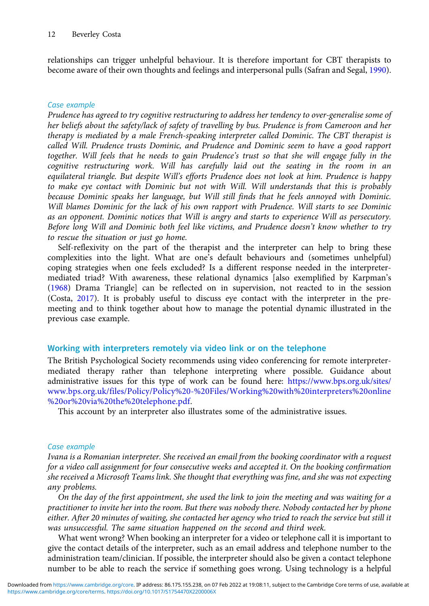relationships can trigger unhelpful behaviour. It is therefore important for CBT therapists to become aware of their own thoughts and feelings and interpersonal pulls (Safran and Segal, 1990).

## Case example

Prudence has agreed to try cognitive restructuring to address her tendency to over-generalise some of her beliefs about the safety/lack of safety of travelling by bus. Prudence is from Cameroon and her therapy is mediated by a male French-speaking interpreter called Dominic. The CBT therapist is called Will. Prudence trusts Dominic, and Prudence and Dominic seem to have a good rapport together. Will feels that he needs to gain Prudence's trust so that she will engage fully in the cognitive restructuring work. Will has carefully laid out the seating in the room in an equilateral triangle. But despite Will's efforts Prudence does not look at him. Prudence is happy to make eye contact with Dominic but not with Will. Will understands that this is probably because Dominic speaks her language, but Will still finds that he feels annoyed with Dominic. Will blames Dominic for the lack of his own rapport with Prudence. Will starts to see Dominic as an opponent. Dominic notices that Will is angry and starts to experience Will as persecutory. Before long Will and Dominic both feel like victims, and Prudence doesn't know whether to try to rescue the situation or just go home.

Self-reflexivity on the part of the therapist and the interpreter can help to bring these complexities into the light. What are one's default behaviours and (sometimes unhelpful) coping strategies when one feels excluded? Is a different response needed in the interpretermediated triad? With awareness, these relational dynamics [also exemplified by Karpman's (1968) Drama Triangle] can be reflected on in supervision, not reacted to in the session (Costa, 2017). It is probably useful to discuss eye contact with the interpreter in the premeeting and to think together about how to manage the potential dynamic illustrated in the previous case example.

# Working with interpreters remotely via video link or on the telephone

The British Psychological Society recommends using video conferencing for remote interpretermediated therapy rather than telephone interpreting where possible. Guidance about administrative issues for this type of work can be found here: https://www.bps.org.uk/sites/ www.bps.org.uk/files/Policy/Policy%20-%20Files/Working%20with%20interpreters%20online %20or%20via%20the%20telephone.pdf.

This account by an interpreter also illustrates some of the administrative issues.

## Case example

Ivana is a Romanian interpreter. She received an email from the booking coordinator with a request for a video call assignment for four consecutive weeks and accepted it. On the booking confirmation she received a Microsoft Teams link. She thought that everything was fine, and she was not expecting any problems.

On the day of the first appointment, she used the link to join the meeting and was waiting for a practitioner to invite her into the room. But there was nobody there. Nobody contacted her by phone either. After 20 minutes of waiting, she contacted her agency who tried to reach the service but still it was unsuccessful. The same situation happened on the second and third week.

What went wrong? When booking an interpreter for a video or telephone call it is important to give the contact details of the interpreter, such as an email address and telephone number to the administration team/clinician. If possible, the interpreter should also be given a contact telephone number to be able to reach the service if something goes wrong. Using technology is a helpful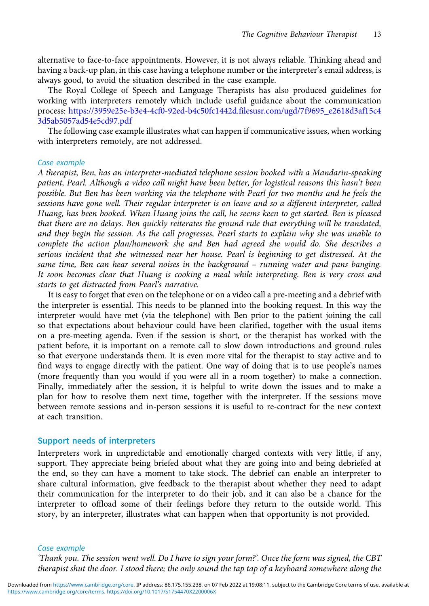alternative to face-to-face appointments. However, it is not always reliable. Thinking ahead and having a back-up plan, in this case having a telephone number or the interpreter's email address, is always good, to avoid the situation described in the case example.

The Royal College of Speech and Language Therapists has also produced guidelines for working with interpreters remotely which include useful guidance about the communication process: https://3959e25e-b3e4-4cf0-92ed-b4c50fc1442d.filesusr.com/ugd/7f9695\_e2618d3af15c4 3d5ab5057ad54e5cd97.pdf

The following case example illustrates what can happen if communicative issues, when working with interpreters remotely, are not addressed.

## Case example

A therapist, Ben, has an interpreter-mediated telephone session booked with a Mandarin-speaking patient, Pearl. Although a video call might have been better, for logistical reasons this hasn't been possible. But Ben has been working via the telephone with Pearl for two months and he feels the sessions have gone well. Their regular interpreter is on leave and so a different interpreter, called Huang, has been booked. When Huang joins the call, he seems keen to get started. Ben is pleased that there are no delays. Ben quickly reiterates the ground rule that everything will be translated, and they begin the session. As the call progresses, Pearl starts to explain why she was unable to complete the action plan/homework she and Ben had agreed she would do. She describes a serious incident that she witnessed near her house. Pearl is beginning to get distressed. At the same time, Ben can hear several noises in the background – running water and pans banging. It soon becomes clear that Huang is cooking a meal while interpreting. Ben is very cross and starts to get distracted from Pearl's narrative.

It is easy to forget that even on the telephone or on a video call a pre-meeting and a debrief with the interpreter is essential. This needs to be planned into the booking request. In this way the interpreter would have met (via the telephone) with Ben prior to the patient joining the call so that expectations about behaviour could have been clarified, together with the usual items on a pre-meeting agenda. Even if the session is short, or the therapist has worked with the patient before, it is important on a remote call to slow down introductions and ground rules so that everyone understands them. It is even more vital for the therapist to stay active and to find ways to engage directly with the patient. One way of doing that is to use people's names (more frequently than you would if you were all in a room together) to make a connection. Finally, immediately after the session, it is helpful to write down the issues and to make a plan for how to resolve them next time, together with the interpreter. If the sessions move between remote sessions and in-person sessions it is useful to re-contract for the new context at each transition.

## Support needs of interpreters

Interpreters work in unpredictable and emotionally charged contexts with very little, if any, support. They appreciate being briefed about what they are going into and being debriefed at the end, so they can have a moment to take stock. The debrief can enable an interpreter to share cultural information, give feedback to the therapist about whether they need to adapt their communication for the interpreter to do their job, and it can also be a chance for the interpreter to offload some of their feelings before they return to the outside world. This story, by an interpreter, illustrates what can happen when that opportunity is not provided.

#### Case example

'Thank you. The session went well. Do I have to sign your form?'. Once the form was signed, the CBT therapist shut the door. I stood there; the only sound the tap tap of a keyboard somewhere along the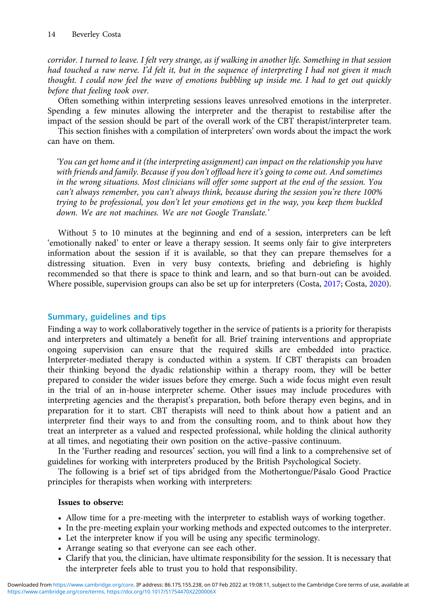corridor. I turned to leave. I felt very strange, as if walking in another life. Something in that session had touched a raw nerve. I'd felt it, but in the sequence of interpreting I had not given it much thought. I could now feel the wave of emotions bubbling up inside me. I had to get out quickly before that feeling took over.

Often something within interpreting sessions leaves unresolved emotions in the interpreter. Spending a few minutes allowing the interpreter and the therapist to restabilise after the impact of the session should be part of the overall work of the CBT therapist/interpreter team.

This section finishes with a compilation of interpreters' own words about the impact the work can have on them.

'You can get home and it (the interpreting assignment) can impact on the relationship you have with friends and family. Because if you don't offload here it's going to come out. And sometimes in the wrong situations. Most clinicians will offer some support at the end of the session. You can't always remember, you can't always think, because during the session you're there 100% trying to be professional, you don't let your emotions get in the way, you keep them buckled down. We are not machines. We are not Google Translate.'

Without 5 to 10 minutes at the beginning and end of a session, interpreters can be left 'emotionally naked' to enter or leave a therapy session. It seems only fair to give interpreters information about the session if it is available, so that they can prepare themselves for a distressing situation. Even in very busy contexts, briefing and debriefing is highly recommended so that there is space to think and learn, and so that burn-out can be avoided. Where possible, supervision groups can also be set up for interpreters (Costa, 2017; Costa, 2020).

# Summary, guidelines and tips

Finding a way to work collaboratively together in the service of patients is a priority for therapists and interpreters and ultimately a benefit for all. Brief training interventions and appropriate ongoing supervision can ensure that the required skills are embedded into practice. Interpreter-mediated therapy is conducted within a system. If CBT therapists can broaden their thinking beyond the dyadic relationship within a therapy room, they will be better prepared to consider the wider issues before they emerge. Such a wide focus might even result in the trial of an in-house interpreter scheme. Other issues may include procedures with interpreting agencies and the therapist's preparation, both before therapy even begins, and in preparation for it to start. CBT therapists will need to think about how a patient and an interpreter find their ways to and from the consulting room, and to think about how they treat an interpreter as a valued and respected professional, while holding the clinical authority at all times, and negotiating their own position on the active–passive continuum.

In the 'Further reading and resources' section, you will find a link to a comprehensive set of guidelines for working with interpreters produced by the British Psychological Society.

The following is a brief set of tips abridged from the Mothertongue/Pásalo Good Practice principles for therapists when working with interpreters:

## Issues to observe:

- Allow time for a pre-meeting with the interpreter to establish ways of working together.
- In the pre-meeting explain your working methods and expected outcomes to the interpreter.
- Let the interpreter know if you will be using any specific terminology.
- Arrange seating so that everyone can see each other.
- Clarify that you, the clinician, have ultimate responsibility for the session. It is necessary that the interpreter feels able to trust you to hold that responsibility.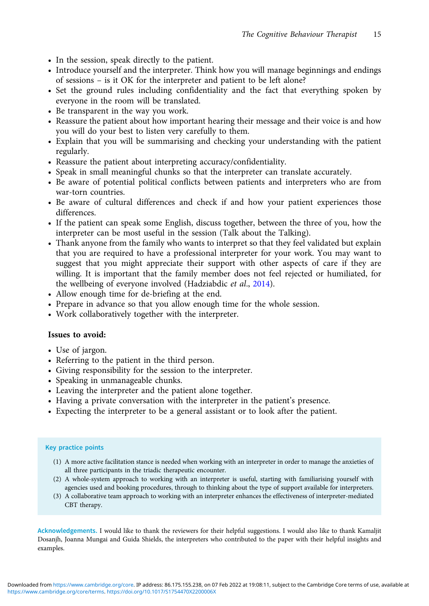- In the session, speak directly to the patient.
- Introduce yourself and the interpreter. Think how you will manage beginnings and endings of sessions – is it OK for the interpreter and patient to be left alone?
- Set the ground rules including confidentiality and the fact that everything spoken by everyone in the room will be translated.
- Be transparent in the way you work.
- Reassure the patient about how important hearing their message and their voice is and how you will do your best to listen very carefully to them.
- Explain that you will be summarising and checking your understanding with the patient regularly.
- Reassure the patient about interpreting accuracy/confidentiality.
- Speak in small meaningful chunks so that the interpreter can translate accurately.
- Be aware of potential political conflicts between patients and interpreters who are from war-torn countries.
- Be aware of cultural differences and check if and how your patient experiences those differences.
- If the patient can speak some English, discuss together, between the three of you, how the interpreter can be most useful in the session (Talk about the Talking).
- Thank anyone from the family who wants to interpret so that they feel validated but explain that you are required to have a professional interpreter for your work. You may want to suggest that you might appreciate their support with other aspects of care if they are willing. It is important that the family member does not feel rejected or humiliated, for the wellbeing of everyone involved (Hadziabdic et al., 2014).
- Allow enough time for de-briefing at the end.
- Prepare in advance so that you allow enough time for the whole session.
- Work collaboratively together with the interpreter.

## Issues to avoid:

- Use of jargon.
- Referring to the patient in the third person.
- Giving responsibility for the session to the interpreter.
- Speaking in unmanageable chunks.
- Leaving the interpreter and the patient alone together.
- Having a private conversation with the interpreter in the patient's presence.
- Expecting the interpreter to be a general assistant or to look after the patient.

#### Key practice points

- (1) A more active facilitation stance is needed when working with an interpreter in order to manage the anxieties of all three participants in the triadic therapeutic encounter.
- (2) A whole-system approach to working with an interpreter is useful, starting with familiarising yourself with agencies used and booking procedures, through to thinking about the type of support available for interpreters.
- (3) A collaborative team approach to working with an interpreter enhances the effectiveness of interpreter-mediated CBT therapy.

Acknowledgements. I would like to thank the reviewers for their helpful suggestions. I would also like to thank Kamaljit Dosanjh, Joanna Mungai and Guida Shields, the interpreters who contributed to the paper with their helpful insights and examples.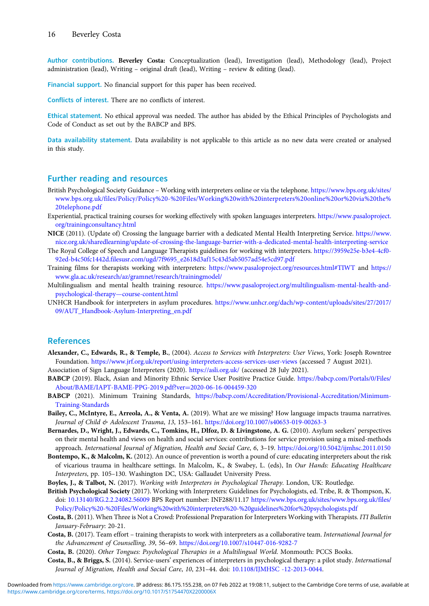Author contributions. Beverley Costa: Conceptualization (lead), Investigation (lead), Methodology (lead), Project administration (lead), Writing – original draft (lead), Writing – review & editing (lead).

Financial support. No financial support for this paper has been received.

Conflicts of interest. There are no conflicts of interest.

Ethical statement. No ethical approval was needed. The author has abided by the Ethical Principles of Psychologists and Code of Conduct as set out by the BABCP and BPS.

Data availability statement. Data availability is not applicable to this article as no new data were created or analysed in this study.

#### Further reading and resources

- British Psychological Society Guidance Working with interpreters online or via the telephone. https://www.bps.org.uk/sites/ www.bps.org.uk/files/Policy/Policy%20-%20Files/Working%20with%20interpreters%20online%20or%20via%20the% 20telephone.pdf
- Experiential, practical training courses for working effectively with spoken languages interpreters. https://www.pasaloproject. org/trainingconsultancy.html
- NICE (2011). (Update of) Crossing the language barrier with a dedicated Mental Health Interpreting Service. https://www. nice.org.uk/sharedlearning/update-of-crossing-the-language-barrier-with-a-dedicated-mental-health-interpreting-service
- The Royal College of Speech and Language Therapists guidelines for working with interpreters. https://3959e25e-b3e4-4cf0- 92ed-b4c50fc1442d.filesusr.com/ugd/7f9695\_e2618d3af15c43d5ab5057ad54e5cd97.pdf
- Training films for therapists working with interpreters: https://www.pasaloproject.org/resources.html#TIWT and https:// www.gla.ac.uk/research/az/gramnet/research/trainingmodel/
- Multilingualism and mental health training resource. https://www.pasaloproject.org/multilingualism-mental-health-andpsychological-therapy—course-content.html
- UNHCR Handbook for interpreters in asylum procedures. https://www.unhcr.org/dach/wp-content/uploads/sites/27/2017/ 09/AUT\_Handbook-Asylum-Interpreting\_en.pdf

#### References

- Alexander, C., Edwards, R., & Temple, B., (2004). Access to Services with Interpreters: User Views, York: Joseph Rowntree Foundation. https://www.jrf.org.uk/report/using-interpreters-access-services-user-views (accessed 7 August 2021).
- Association of Sign Language Interpreters (2020). https://asli.org.uk/ (accessed 28 July 2021).
- BABCP (2019). Black, Asian and Minority Ethnic Service User Positive Practice Guide. https://babcp.com/Portals/0/Files/ About/BAME/IAPT-BAME-PPG-2019.pdf?ver=2020-06-16-004459-320
- BABCP (2021). Minimum Training Standards, https://babcp.com/Accreditation/Provisional-Accreditation/Minimum-Training-Standards
- Bailey, C., McIntyre, E., Arreola, A., & Venta, A. (2019). What are we missing? How language impacts trauma narratives. Journal of Child & Adolescent Trauma, 13, 153–161. https://doi.org/10.1007/s40653-019-00263-3
- Bernardes, D., Wright, J., Edwards, C., Tomkins, H., Dlfoz, D. & Livingstone, A. G. (2010). Asylum seekers' perspectives on their mental health and views on health and social services: contributions for service provision using a mixed-methods approach. International Journal of Migration, Health and Social Care, 6, 3–19. https://doi.org/10.5042/ijmhsc.2011.0150
- Bontempo, K., & Malcolm, K. (2012). An ounce of prevention is worth a pound of cure: educating interpreters about the risk of vicarious trauma in healthcare settings. In Malcolm, K., & Swabey, L. (eds), In Our Hands: Educating Healthcare Interpreters, pp. 105–130. Washington DC, USA: Gallaudet University Press.
- Boyles, J., & Talbot, N. (2017). Working with Interpreters in Psychological Therapy. London, UK: Routledge.
- British Psychological Society (2017). Working with Interpreters: Guidelines for Psychologists, ed. Tribe, R. & Thompson, K. doi: 10.13140/RG.2.2.24082.56009 BPS Report number: INF288/11.17 https://www.bps.org.uk/sites/www.bps.org.uk/files/ Policy/Policy%20-%20Files/Working%20with%20interpreters%20-%20guidelines%20for%20psychologists.pdf
- Costa, B. (2011). When Three is Not a Crowd: Professional Preparation for Interpreters Working with Therapists. ITI Bulletin January-February: 20-21.
- Costa, B. (2017). Team effort training therapists to work with interpreters as a collaborative team. International Journal for the Advancement of Counselling, 39, 56–69. https://doi.org/10.1007/s10447-016-9282-7
- Costa, B. (2020). Other Tongues: Psychological Therapies in a Multilingual World. Monmouth: PCCS Books.
- Costa, B., & Briggs, S. (2014). Service-users' experiences of interpreters in psychological therapy: a pilot study. International Journal of Migration, Health and Social Care, 10, 231–44. doi: 10.1108/IJMHSC -12-2013-0044.